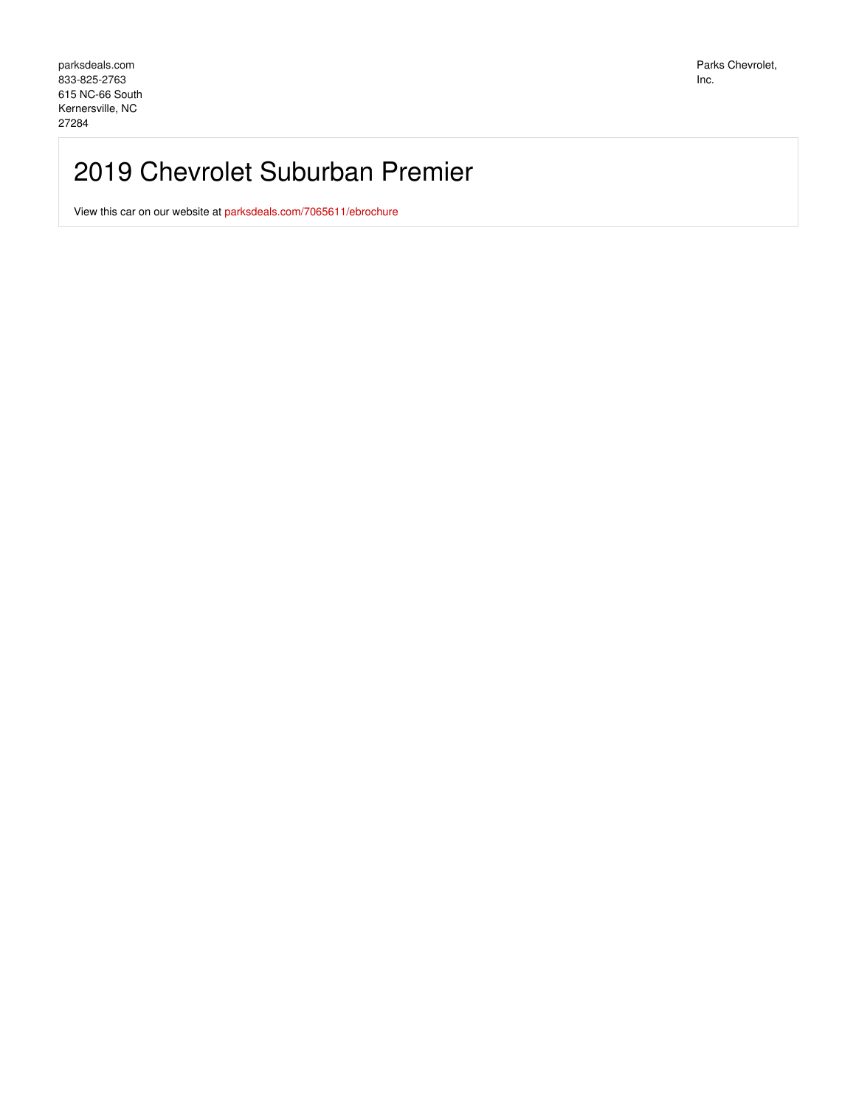## 2019 Chevrolet Suburban Premier

View this car on our website at [parksdeals.com/7065611/ebrochure](file:///7065611/ebrochure)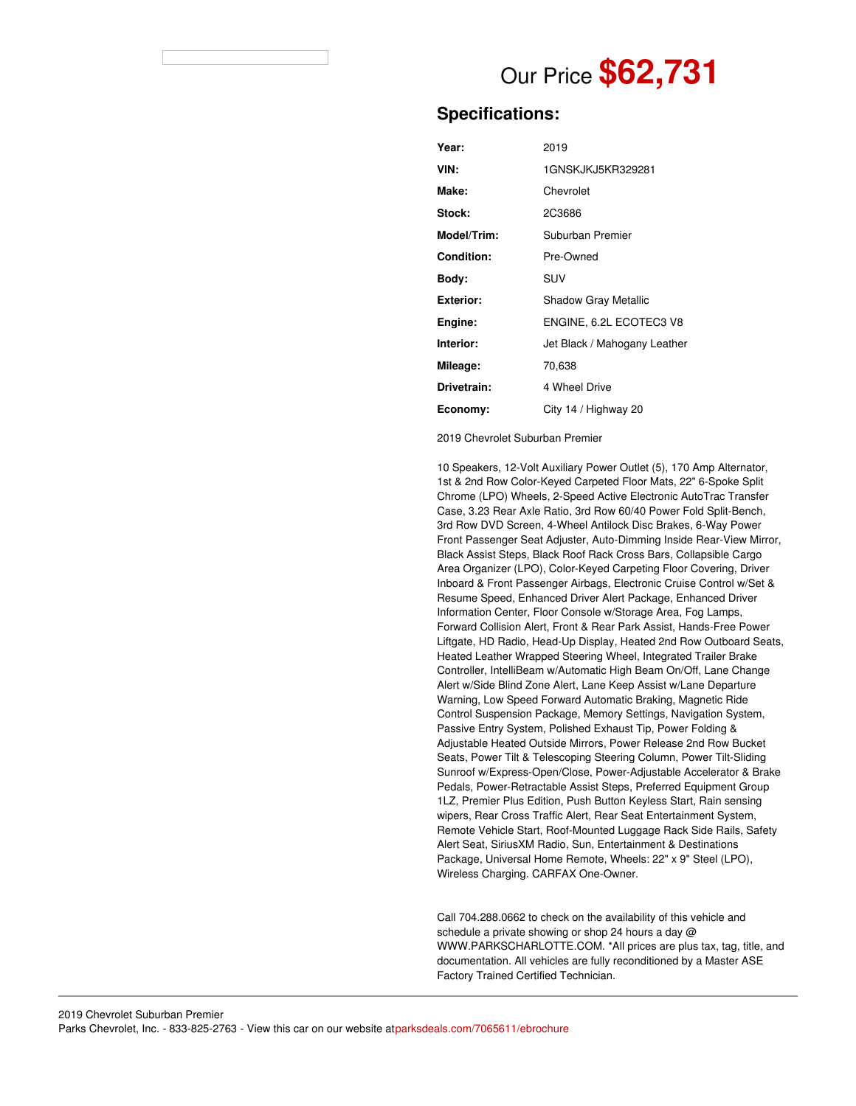# Our Price **\$62,731**

### **Specifications:**

| Year:             | 2019                         |
|-------------------|------------------------------|
| VIN:              | 1GNSKJKJ5KR329281            |
| Make:             | Chevrolet                    |
| Stock:            | 2C3686                       |
| Model/Trim:       | Suburban Premier             |
| <b>Condition:</b> | Pre-Owned                    |
| Bodv:             | SUV                          |
| <b>Exterior:</b>  | <b>Shadow Gray Metallic</b>  |
| Engine:           | ENGINE, 6.2L ECOTEC3 V8      |
| Interior:         | Jet Black / Mahogany Leather |
| Mileage:          | 70,638                       |
| Drivetrain:       | 4 Wheel Drive                |
| Economy:          | City 14 / Highway 20         |

2019 Chevrolet Suburban Premier

10 Speakers, 12-Volt Auxiliary Power Outlet (5), 170 Amp Alternator, 1st & 2nd Row Color-Keyed Carpeted Floor Mats, 22" 6-Spoke Split Chrome (LPO) Wheels, 2-Speed Active Electronic AutoTrac Transfer Case, 3.23 Rear Axle Ratio, 3rd Row 60/40 Power Fold Split-Bench, 3rd Row DVD Screen, 4-Wheel Antilock Disc Brakes, 6-Way Power Front Passenger Seat Adjuster, Auto-Dimming Inside Rear-View Mirror, Black Assist Steps, Black Roof Rack Cross Bars, Collapsible Cargo Area Organizer (LPO), Color-Keyed Carpeting Floor Covering, Driver Inboard & Front Passenger Airbags, Electronic Cruise Control w/Set & Resume Speed, Enhanced Driver Alert Package, Enhanced Driver Information Center, Floor Console w/Storage Area, Fog Lamps, Forward Collision Alert, Front & Rear Park Assist, Hands-Free Power Liftgate, HD Radio, Head-Up Display, Heated 2nd Row Outboard Seats, Heated Leather Wrapped Steering Wheel, Integrated Trailer Brake Controller, IntelliBeam w/Automatic High Beam On/Off, Lane Change Alert w/Side Blind Zone Alert, Lane Keep Assist w/Lane Departure Warning, Low Speed Forward Automatic Braking, Magnetic Ride Control Suspension Package, Memory Settings, Navigation System, Passive Entry System, Polished Exhaust Tip, Power Folding & Adjustable Heated Outside Mirrors, Power Release 2nd Row Bucket Seats, Power Tilt & Telescoping Steering Column, Power Tilt-Sliding Sunroof w/Express-Open/Close, Power-Adjustable Accelerator & Brake Pedals, Power-Retractable Assist Steps, Preferred Equipment Group 1LZ, Premier Plus Edition, Push Button Keyless Start, Rain sensing wipers, Rear Cross Traffic Alert, Rear Seat Entertainment System, Remote Vehicle Start, Roof-Mounted Luggage Rack Side Rails, Safety Alert Seat, SiriusXM Radio, Sun, Entertainment & Destinations Package, Universal Home Remote, Wheels: 22" x 9" Steel (LPO), Wireless Charging. CARFAX One-Owner.

Call 704.288.0662 to check on the availability of this vehicle and schedule a private showing or shop 24 hours a day @ WWW.PARKSCHARLOTTE.COM. \*All prices are plus tax, tag, title, and documentation. All vehicles are fully reconditioned by a Master ASE Factory Trained Certified Technician.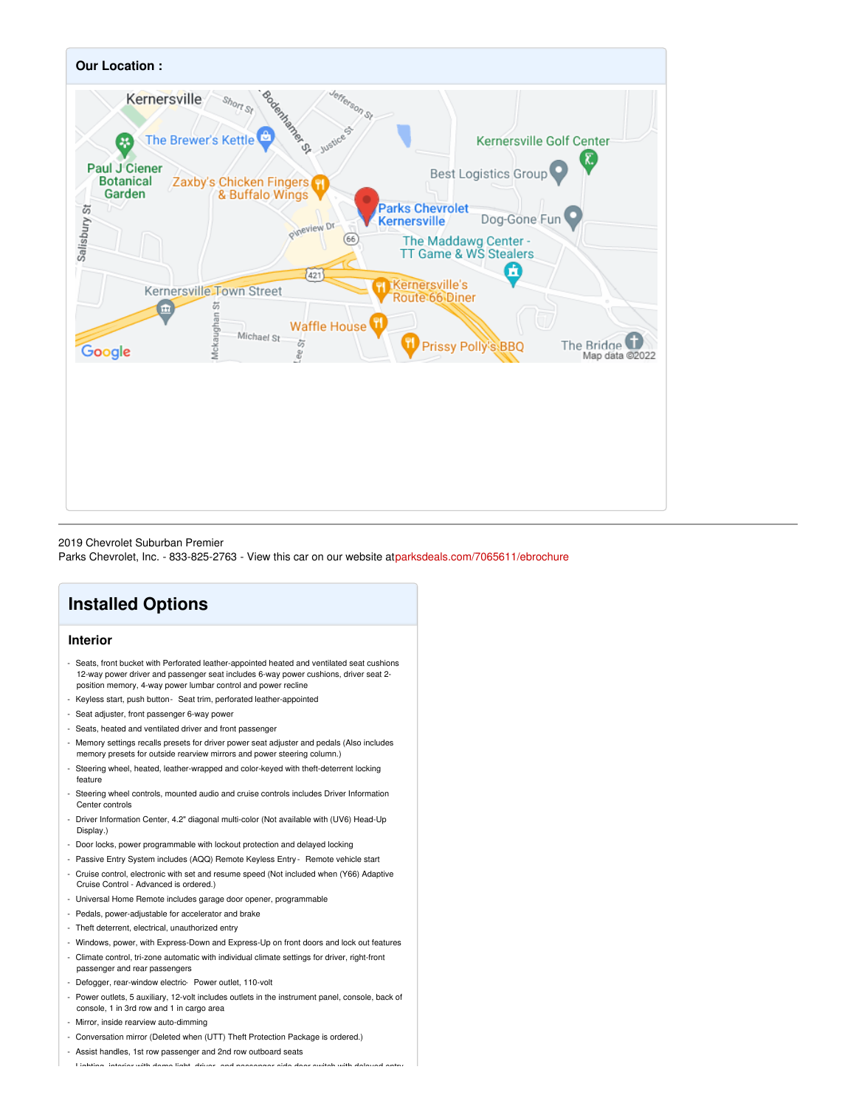

#### 2019 Chevrolet Suburban Premier

Parks Chevrolet, Inc. - 833-825-2763 - View this car on our website a[tparksdeals.com/7065611/ebrochure](file:///7065611/ebrochure)

## **Installed Options**

#### **Interior**

- Seats, front bucket with Perforated leather-appointed heated and ventilated seat cushions 12-way power driver and passenger seat includes 6-way power cushions, driver seat 2 position memory, 4-way power lumbar control and power recline
- Keyless start, push button- Seat trim, perforated leather-appointed
- Seat adjuster, front passenger 6-way power
- Seats, heated and ventilated driver and front passenger
- Memory settings recalls presets for driver power seat adjuster and pedals (Also includes memory presets for outside rearview mirrors and power steering column.)
- Steering wheel, heated, leather-wrapped and color-keyed with theft-deterrent locking feature
- Steering wheel controls, mounted audio and cruise controls includes Driver Information Center controls
- Driver Information Center, 4.2" diagonal multi-color (Not available with (UV6) Head-Up Display.)
- Door locks, power programmable with lockout protection and delayed locking
- Passive Entry System includes (AQQ) Remote Keyless Entry Remote vehicle start
- Cruise control, electronic with set and resume speed (Not included when (Y66) Adaptive Cruise Control - Advanced is ordered.)
- Universal Home Remote includes garage door opener, programmable
- Pedals, power-adjustable for accelerator and brake
- Theft deterrent, electrical, unauthorized entry
- Windows, power, with Express-Down and Express-Up on front doors and lock out features
- Climate control, tri-zone automatic with individual climate settings for driver, right-front
- passenger and rear passengers
- Defogger, rear-window electric- Power outlet, 110-volt
- Power outlets, 5 auxiliary, 12-volt includes outlets in the instrument panel, console, back of console, 1 in 3rd row and 1 in cargo area
- Mirror, inside rearview auto-dimming
- Conversation mirror (Deleted when (UTT) Theft Protection Package is ordered.)
- Assist handles, 1st row passenger and 2nd row outboard seats

- Lighting, interior with dome light, driver- and passenger-side door switch with delayed entry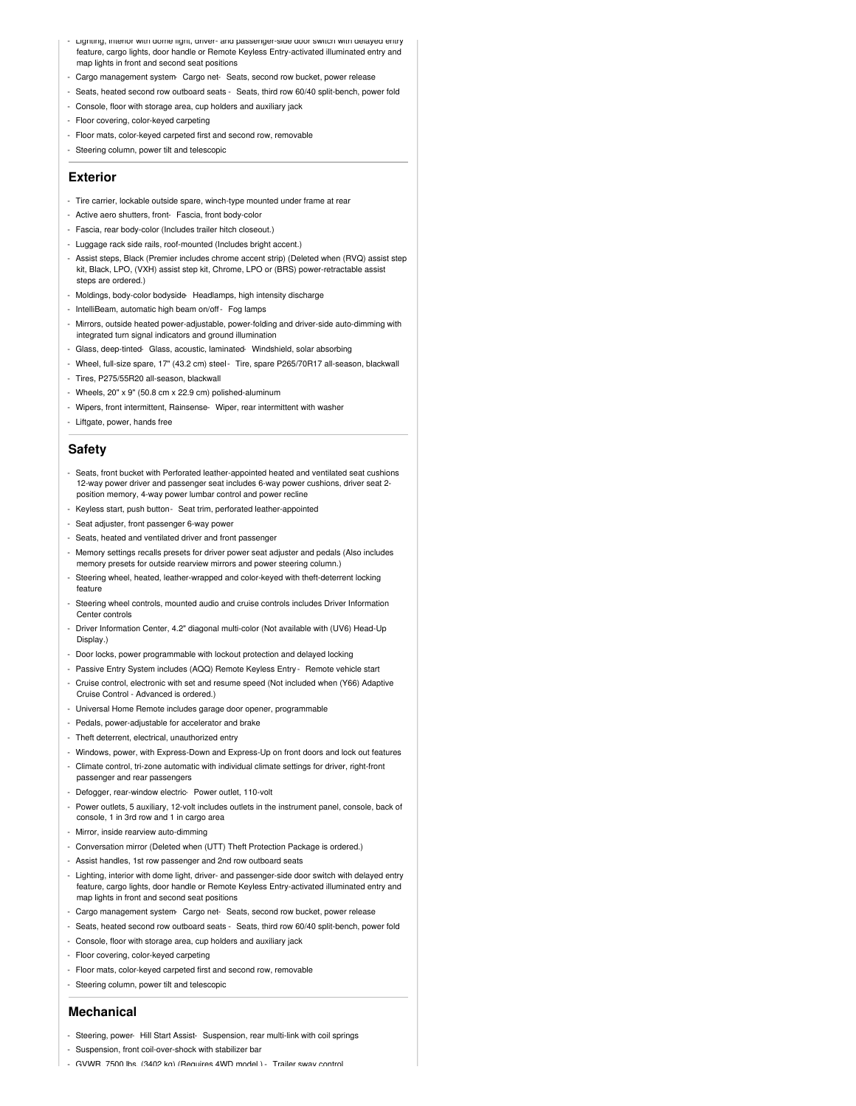- Lighting, interior with dome light, driver- and passenger-side door switch with delayed entry feature, cargo lights, door handle or Remote Keyless Entry-activated illuminated entry and map lights in front and second seat positions
- Cargo management system- Cargo net- Seats, second row bucket, power release
- Seats, heated second row outboard seats Seats, third row 60/40 split-bench, power fold
- Console, floor with storage area, cup holders and auxiliary jack
- Floor covering, color-keyed carpeting
- Floor mats, color-keyed carpeted first and second row, removable
- Steering column, power tilt and telescopic

#### **Exterior**

- Tire carrier, lockable outside spare, winch-type mounted under frame at rear
- Active aero shutters, front- Fascia, front body-color
- Fascia, rear body-color (Includes trailer hitch closeout.)
- Luggage rack side rails, roof-mounted (Includes bright accent.)
- Assist steps, Black (Premier includes chrome accent strip) (Deleted when (RVQ) assist step kit, Black, LPO, (VXH) assist step kit, Chrome, LPO or (BRS) power-retractable assist steps are ordered.)
- Moldings, body-color bodyside Headlamps, high intensity discharge
- IntelliBeam, automatic high beam on/off- Fog lamps
- Mirrors, outside heated power-adjustable, power-folding and driver-side auto-dimming with integrated turn signal indicators and ground illumination
- Glass, deep-tinted- Glass, acoustic, laminated- Windshield, solar absorbing
- Wheel, full-size spare, 17" (43.2 cm) steel- Tire, spare P265/70R17 all-season, blackwall
- Tires, P275/55R20 all-season, blackwall
- Wheels, 20" x 9" (50.8 cm x 22.9 cm) polished-aluminum
- Wipers, front intermittent, Rainsense- Wiper, rear intermittent with washer
- Liftgate, power, hands free

#### **Safety**

- Seats, front bucket with Perforated leather-appointed heated and ventilated seat cushions 12-way power driver and passenger seat includes 6-way power cushions, driver seat 2 position memory, 4-way power lumbar control and power recline
- Keyless start, push button- Seat trim, perforated leather-appointed
- Seat adjuster, front passenger 6-way power
- Seats, heated and ventilated driver and front passenger
- Memory settings recalls presets for driver power seat adjuster and pedals (Also includes memory presets for outside rearview mirrors and power steering column.)
- Steering wheel, heated, leather-wrapped and color-keyed with theft-deterrent locking feature
- Steering wheel controls, mounted audio and cruise controls includes Driver Information Center controls
- Driver Information Center, 4.2" diagonal multi-color (Not available with (UV6) Head-Up Display.)
- Door locks, power programmable with lockout protection and delayed locking
- Passive Entry System includes (AQQ) Remote Keyless Entry Remote vehicle start
- Cruise control, electronic with set and resume speed (Not included when (Y66) Adaptive Cruise Control - Advanced is ordered.)
- Universal Home Remote includes garage door opener, programmable
- Pedals, power-adjustable for accelerator and brake
- Theft deterrent, electrical, unauthorized entry
- Windows, power, with Express-Down and Express-Up on front doors and lock out features
- Climate control, tri-zone automatic with individual climate settings for driver, right-front passenger and rear passengers
- Defogger, rear-window electric- Power outlet, 110-volt
- Power outlets, 5 auxiliary, 12-volt includes outlets in the instrument panel, console, back of console, 1 in 3rd row and 1 in cargo area
- Mirror, inside rearview auto-dimming
- Conversation mirror (Deleted when (UTT) Theft Protection Package is ordered.)
- Assist handles, 1st row passenger and 2nd row outboard seats
- Lighting, interior with dome light, driver- and passenger-side door switch with delayed entry feature, cargo lights, door handle or Remote Keyless Entry-activated illuminated entry and map lights in front and second seat positions
- Cargo management system- Cargo net- Seats, second row bucket, power release
- Seats, heated second row outboard seats Seats, third row 60/40 split-bench, power fold
- Console, floor with storage area, cup holders and auxiliary jack
- Floor covering, color-keyed carpeting
- Floor mats, color-keyed carpeted first and second row, removable
- Steering column, power tilt and telescopic

#### **Mechanical**

- Steering, power- Hill Start Assist- Suspension, rear multi-link with coil springs
- Suspension, front coil-over-shock with stabilizer bar
- GVWR, 7500 lbs. (3402 kg) (Requires 4WD model.) Trailer sway control